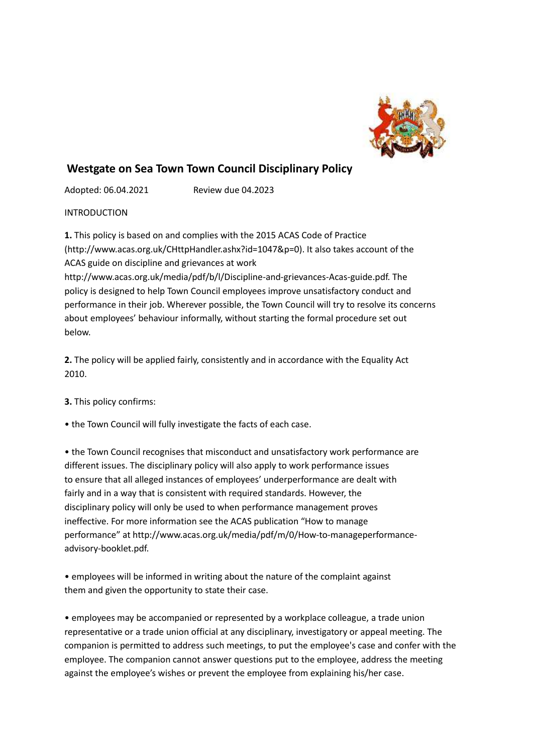

# **Westgate on Sea Town Town Council Disciplinary Policy**

Adopted: 06.04.2021 Review due 04.2023

INTRODUCTION

**1.** This policy is based on and complies with the 2015 ACAS Code of Practice (http://www.acas.org.uk/CHttpHandler.ashx?id=1047&p=0). It also takes account of the ACAS guide on discipline and grievances at work http://www.acas.org.uk/media/pdf/b/l/Discipline-and-grievances-Acas-guide.pdf. The

policy is designed to help Town Council employees improve unsatisfactory conduct and performance in their job. Wherever possible, the Town Council will try to resolve its concerns about employees' behaviour informally, without starting the formal procedure set out below.

**2.** The policy will be applied fairly, consistently and in accordance with the Equality Act 2010.

**3.** This policy confirms:

• the Town Council will fully investigate the facts of each case.

• the Town Council recognises that misconduct and unsatisfactory work performance are different issues. The disciplinary policy will also apply to work performance issues to ensure that all alleged instances of employees' underperformance are dealt with fairly and in a way that is consistent with required standards. However, the disciplinary policy will only be used to when performance management proves ineffective. For more information see the ACAS publication "How to manage performance" at http://www.acas.org.uk/media/pdf/m/0/How-to-manageperformanceadvisory-booklet.pdf.

• employees will be informed in writing about the nature of the complaint against them and given the opportunity to state their case.

• employees may be accompanied or represented by a workplace colleague, a trade union representative or a trade union official at any disciplinary, investigatory or appeal meeting. The companion is permitted to address such meetings, to put the employee's case and confer with the employee. The companion cannot answer questions put to the employee, address the meeting against the employee's wishes or prevent the employee from explaining his/her case.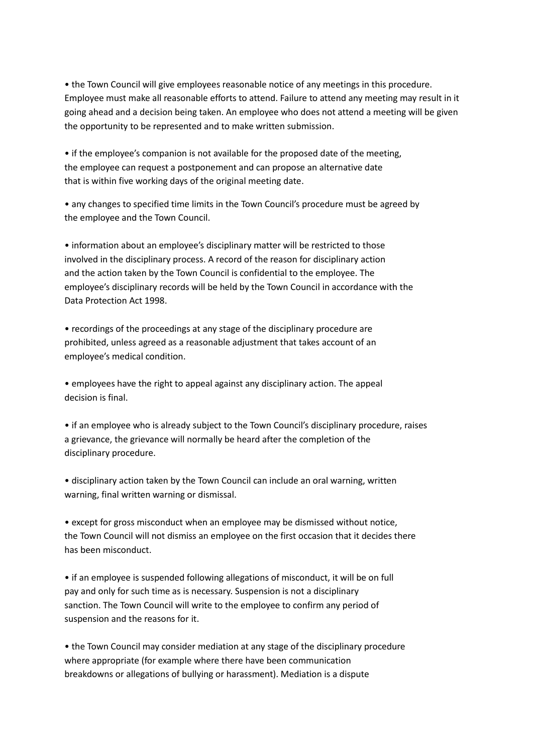• the Town Council will give employees reasonable notice of any meetings in this procedure. Employee must make all reasonable efforts to attend. Failure to attend any meeting may result in it going ahead and a decision being taken. An employee who does not attend a meeting will be given the opportunity to be represented and to make written submission.

• if the employee's companion is not available for the proposed date of the meeting, the employee can request a postponement and can propose an alternative date that is within five working days of the original meeting date.

• any changes to specified time limits in the Town Council's procedure must be agreed by the employee and the Town Council.

• information about an employee's disciplinary matter will be restricted to those involved in the disciplinary process. A record of the reason for disciplinary action and the action taken by the Town Council is confidential to the employee. The employee's disciplinary records will be held by the Town Council in accordance with the Data Protection Act 1998.

• recordings of the proceedings at any stage of the disciplinary procedure are prohibited, unless agreed as a reasonable adjustment that takes account of an employee's medical condition.

• employees have the right to appeal against any disciplinary action. The appeal decision is final.

• if an employee who is already subject to the Town Council's disciplinary procedure, raises a grievance, the grievance will normally be heard after the completion of the disciplinary procedure.

• disciplinary action taken by the Town Council can include an oral warning, written warning, final written warning or dismissal.

• except for gross misconduct when an employee may be dismissed without notice, the Town Council will not dismiss an employee on the first occasion that it decides there has been misconduct.

• if an employee is suspended following allegations of misconduct, it will be on full pay and only for such time as is necessary. Suspension is not a disciplinary sanction. The Town Council will write to the employee to confirm any period of suspension and the reasons for it.

• the Town Council may consider mediation at any stage of the disciplinary procedure where appropriate (for example where there have been communication breakdowns or allegations of bullying or harassment). Mediation is a dispute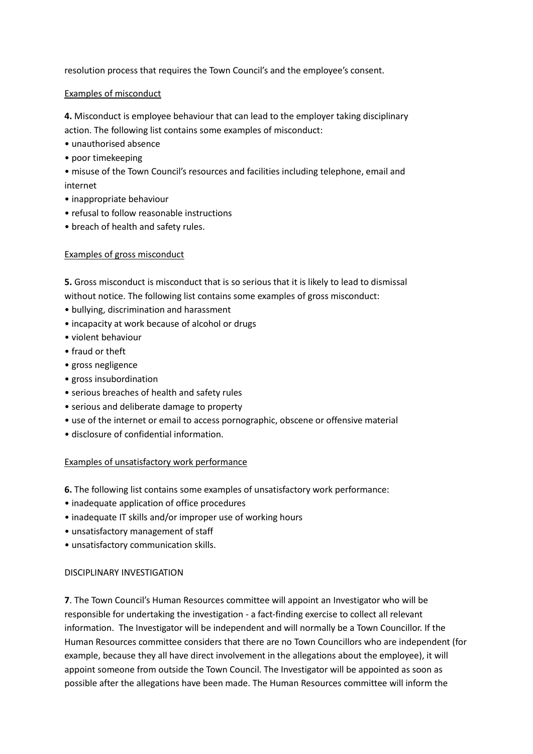resolution process that requires the Town Council's and the employee's consent.

## Examples of misconduct

**4.** Misconduct is employee behaviour that can lead to the employer taking disciplinary action. The following list contains some examples of misconduct:

- unauthorised absence
- poor timekeeping
- misuse of the Town Council's resources and facilities including telephone, email and internet
- inappropriate behaviour
- refusal to follow reasonable instructions
- breach of health and safety rules.

# Examples of gross misconduct

**5.** Gross misconduct is misconduct that is so serious that it is likely to lead to dismissal without notice. The following list contains some examples of gross misconduct:

- bullying, discrimination and harassment
- incapacity at work because of alcohol or drugs
- violent behaviour
- fraud or theft
- gross negligence
- gross insubordination
- serious breaches of health and safety rules
- serious and deliberate damage to property
- use of the internet or email to access pornographic, obscene or offensive material
- disclosure of confidential information.

# Examples of unsatisfactory work performance

- **6.** The following list contains some examples of unsatisfactory work performance:
- inadequate application of office procedures
- inadequate IT skills and/or improper use of working hours
- unsatisfactory management of staff
- unsatisfactory communication skills.

#### DISCIPLINARY INVESTIGATION

**7**. The Town Council's Human Resources committee will appoint an Investigator who will be responsible for undertaking the investigation - a fact-finding exercise to collect all relevant information. The Investigator will be independent and will normally be a Town Councillor. If the Human Resources committee considers that there are no Town Councillors who are independent (for example, because they all have direct involvement in the allegations about the employee), it will appoint someone from outside the Town Council. The Investigator will be appointed as soon as possible after the allegations have been made. The Human Resources committee will inform the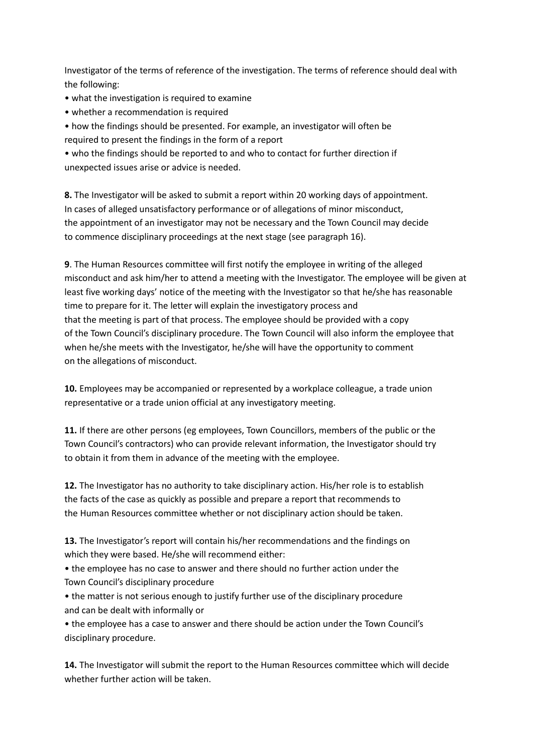Investigator of the terms of reference of the investigation. The terms of reference should deal with the following:

- what the investigation is required to examine
- whether a recommendation is required
- how the findings should be presented. For example, an investigator will often be
- required to present the findings in the form of a report

• who the findings should be reported to and who to contact for further direction if unexpected issues arise or advice is needed.

**8.** The Investigator will be asked to submit a report within 20 working days of appointment. In cases of alleged unsatisfactory performance or of allegations of minor misconduct, the appointment of an investigator may not be necessary and the Town Council may decide to commence disciplinary proceedings at the next stage (see paragraph 16).

**9**. The Human Resources committee will first notify the employee in writing of the alleged misconduct and ask him/her to attend a meeting with the Investigator. The employee will be given at least five working days' notice of the meeting with the Investigator so that he/she has reasonable time to prepare for it. The letter will explain the investigatory process and that the meeting is part of that process. The employee should be provided with a copy of the Town Council's disciplinary procedure. The Town Council will also inform the employee that when he/she meets with the Investigator, he/she will have the opportunity to comment on the allegations of misconduct.

**10.** Employees may be accompanied or represented by a workplace colleague, a trade union representative or a trade union official at any investigatory meeting.

**11.** If there are other persons (eg employees, Town Councillors, members of the public or the Town Council's contractors) who can provide relevant information, the Investigator should try to obtain it from them in advance of the meeting with the employee.

**12.** The Investigator has no authority to take disciplinary action. His/her role is to establish the facts of the case as quickly as possible and prepare a report that recommends to the Human Resources committee whether or not disciplinary action should be taken.

**13.** The Investigator's report will contain his/her recommendations and the findings on which they were based. He/she will recommend either:

• the employee has no case to answer and there should no further action under the Town Council's disciplinary procedure

• the matter is not serious enough to justify further use of the disciplinary procedure and can be dealt with informally or

• the employee has a case to answer and there should be action under the Town Council's disciplinary procedure.

**14.** The Investigator will submit the report to the Human Resources committee which will decide whether further action will be taken.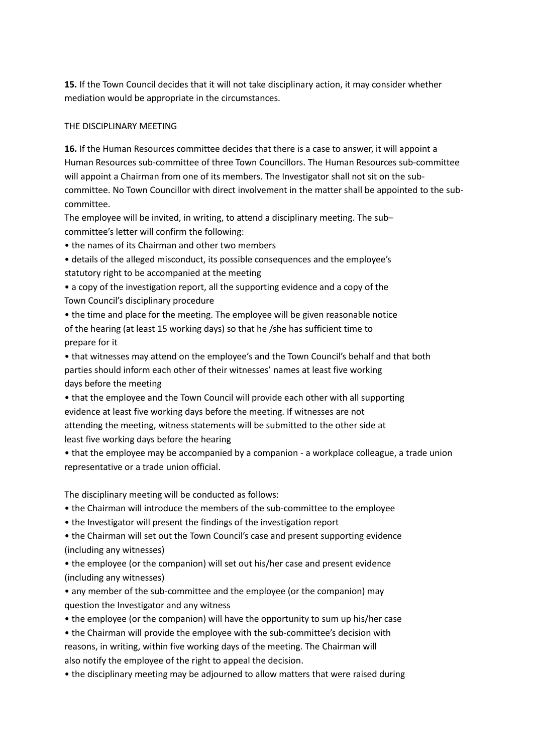**15.** If the Town Council decides that it will not take disciplinary action, it may consider whether mediation would be appropriate in the circumstances.

## THE DISCIPLINARY MEETING

**16.** If the Human Resources committee decides that there is a case to answer, it will appoint a Human Resources sub-committee of three Town Councillors. The Human Resources sub-committee will appoint a Chairman from one of its members. The Investigator shall not sit on the subcommittee. No Town Councillor with direct involvement in the matter shall be appointed to the subcommittee.

The employee will be invited, in writing, to attend a disciplinary meeting. The sub– committee's letter will confirm the following:

• the names of its Chairman and other two members

• details of the alleged misconduct, its possible consequences and the employee's statutory right to be accompanied at the meeting

• a copy of the investigation report, all the supporting evidence and a copy of the Town Council's disciplinary procedure

• the time and place for the meeting. The employee will be given reasonable notice of the hearing (at least 15 working days) so that he /she has sufficient time to prepare for it

• that witnesses may attend on the employee's and the Town Council's behalf and that both parties should inform each other of their witnesses' names at least five working days before the meeting

• that the employee and the Town Council will provide each other with all supporting evidence at least five working days before the meeting. If witnesses are not attending the meeting, witness statements will be submitted to the other side at least five working days before the hearing

• that the employee may be accompanied by a companion - a workplace colleague, a trade union representative or a trade union official.

The disciplinary meeting will be conducted as follows:

- the Chairman will introduce the members of the sub-committee to the employee
- the Investigator will present the findings of the investigation report

• the Chairman will set out the Town Council's case and present supporting evidence (including any witnesses)

• the employee (or the companion) will set out his/her case and present evidence (including any witnesses)

• any member of the sub-committee and the employee (or the companion) may question the Investigator and any witness

• the employee (or the companion) will have the opportunity to sum up his/her case

• the Chairman will provide the employee with the sub-committee's decision with reasons, in writing, within five working days of the meeting. The Chairman will also notify the employee of the right to appeal the decision.

• the disciplinary meeting may be adjourned to allow matters that were raised during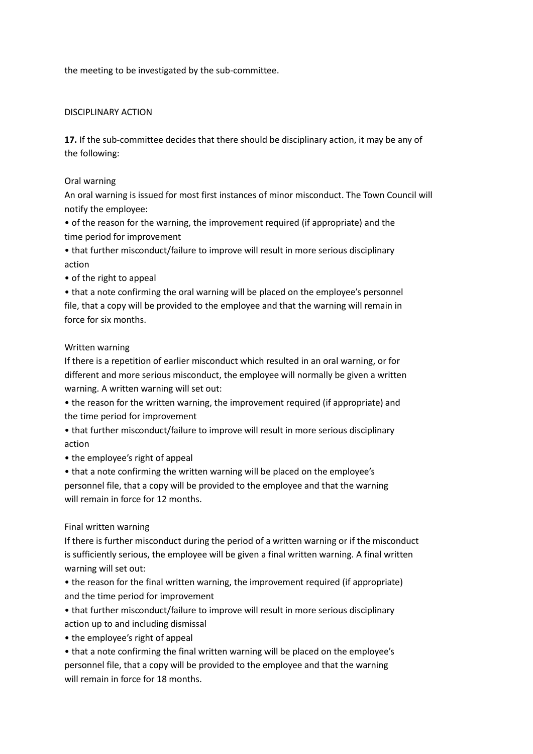the meeting to be investigated by the sub-committee.

## DISCIPLINARY ACTION

**17.** If the sub-committee decides that there should be disciplinary action, it may be any of the following:

## Oral warning

An oral warning is issued for most first instances of minor misconduct. The Town Council will notify the employee:

• of the reason for the warning, the improvement required (if appropriate) and the time period for improvement

• that further misconduct/failure to improve will result in more serious disciplinary action

• of the right to appeal

• that a note confirming the oral warning will be placed on the employee's personnel file, that a copy will be provided to the employee and that the warning will remain in force for six months.

## Written warning

If there is a repetition of earlier misconduct which resulted in an oral warning, or for different and more serious misconduct, the employee will normally be given a written warning. A written warning will set out:

• the reason for the written warning, the improvement required (if appropriate) and the time period for improvement

• that further misconduct/failure to improve will result in more serious disciplinary action

• the employee's right of appeal

• that a note confirming the written warning will be placed on the employee's personnel file, that a copy will be provided to the employee and that the warning will remain in force for 12 months.

#### Final written warning

If there is further misconduct during the period of a written warning or if the misconduct is sufficiently serious, the employee will be given a final written warning. A final written warning will set out:

• the reason for the final written warning, the improvement required (if appropriate) and the time period for improvement

• that further misconduct/failure to improve will result in more serious disciplinary action up to and including dismissal

• the employee's right of appeal

• that a note confirming the final written warning will be placed on the employee's personnel file, that a copy will be provided to the employee and that the warning will remain in force for 18 months.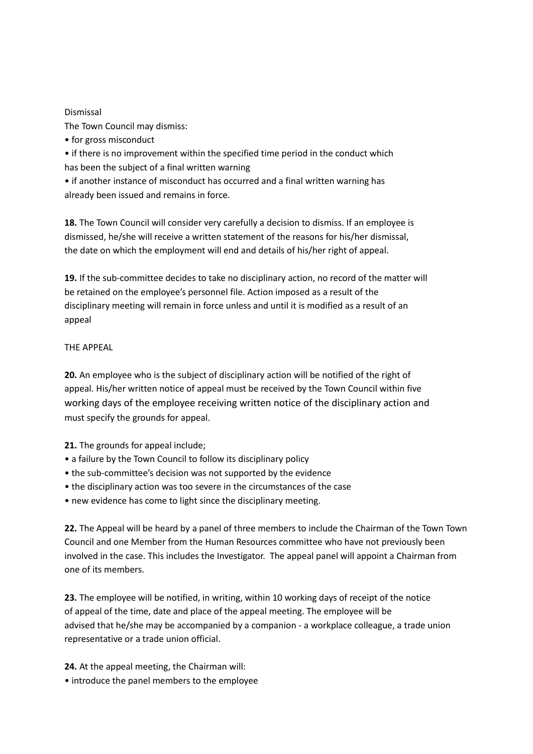## Dismissal

The Town Council may dismiss:

• for gross misconduct

• if there is no improvement within the specified time period in the conduct which has been the subject of a final written warning

• if another instance of misconduct has occurred and a final written warning has already been issued and remains in force.

**18.** The Town Council will consider very carefully a decision to dismiss. If an employee is dismissed, he/she will receive a written statement of the reasons for his/her dismissal, the date on which the employment will end and details of his/her right of appeal.

**19.** If the sub-committee decides to take no disciplinary action, no record of the matter will be retained on the employee's personnel file. Action imposed as a result of the disciplinary meeting will remain in force unless and until it is modified as a result of an appeal

THE APPEAL

**20.** An employee who is the subject of disciplinary action will be notified of the right of appeal. His/her written notice of appeal must be received by the Town Council within five working days of the employee receiving written notice of the disciplinary action and must specify the grounds for appeal.

**21.** The grounds for appeal include;

- a failure by the Town Council to follow its disciplinary policy
- the sub-committee's decision was not supported by the evidence
- the disciplinary action was too severe in the circumstances of the case
- new evidence has come to light since the disciplinary meeting.

**22.** The Appeal will be heard by a panel of three members to include the Chairman of the Town Town Council and one Member from the Human Resources committee who have not previously been involved in the case. This includes the Investigator. The appeal panel will appoint a Chairman from one of its members.

**23.** The employee will be notified, in writing, within 10 working days of receipt of the notice of appeal of the time, date and place of the appeal meeting. The employee will be advised that he/she may be accompanied by a companion - a workplace colleague, a trade union representative or a trade union official.

**24.** At the appeal meeting, the Chairman will:

• introduce the panel members to the employee